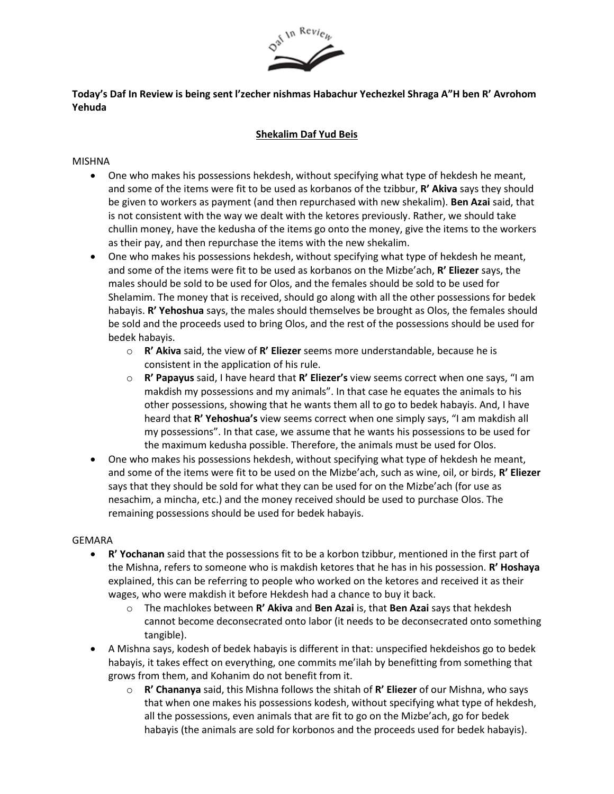

**Today's Daf In Review is being sent l'zecher nishmas Habachur Yechezkel Shraga A"H ben R' Avrohom Yehuda**

## **Shekalim Daf Yud Beis**

## MISHNA

- One who makes his possessions hekdesh, without specifying what type of hekdesh he meant, and some of the items were fit to be used as korbanos of the tzibbur, **R' Akiva** says they should be given to workers as payment (and then repurchased with new shekalim). **Ben Azai** said, that is not consistent with the way we dealt with the ketores previously. Rather, we should take chullin money, have the kedusha of the items go onto the money, give the items to the workers as their pay, and then repurchase the items with the new shekalim.
- One who makes his possessions hekdesh, without specifying what type of hekdesh he meant, and some of the items were fit to be used as korbanos on the Mizbe'ach, **R' Eliezer** says, the males should be sold to be used for Olos, and the females should be sold to be used for Shelamim. The money that is received, should go along with all the other possessions for bedek habayis. **R' Yehoshua** says, the males should themselves be brought as Olos, the females should be sold and the proceeds used to bring Olos, and the rest of the possessions should be used for bedek habayis.
	- o **R' Akiva** said, the view of **R' Eliezer** seems more understandable, because he is consistent in the application of his rule.
	- o **R' Papayus** said, I have heard that **R' Eliezer's** view seems correct when one says, "I am makdish my possessions and my animals". In that case he equates the animals to his other possessions, showing that he wants them all to go to bedek habayis. And, I have heard that **R' Yehoshua's** view seems correct when one simply says, "I am makdish all my possessions". In that case, we assume that he wants his possessions to be used for the maximum kedusha possible. Therefore, the animals must be used for Olos.
- One who makes his possessions hekdesh, without specifying what type of hekdesh he meant, and some of the items were fit to be used on the Mizbe'ach, such as wine, oil, or birds, **R' Eliezer** says that they should be sold for what they can be used for on the Mizbe'ach (for use as nesachim, a mincha, etc.) and the money received should be used to purchase Olos. The remaining possessions should be used for bedek habayis.

## GEMARA

- **R' Yochanan** said that the possessions fit to be a korbon tzibbur, mentioned in the first part of the Mishna, refers to someone who is makdish ketores that he has in his possession. **R' Hoshaya** explained, this can be referring to people who worked on the ketores and received it as their wages, who were makdish it before Hekdesh had a chance to buy it back.
	- o The machlokes between **R' Akiva** and **Ben Azai** is, that **Ben Azai** says that hekdesh cannot become deconsecrated onto labor (it needs to be deconsecrated onto something tangible).
- A Mishna says, kodesh of bedek habayis is different in that: unspecified hekdeishos go to bedek habayis, it takes effect on everything, one commits me'ilah by benefitting from something that grows from them, and Kohanim do not benefit from it.
	- o **R' Chananya** said, this Mishna follows the shitah of **R' Eliezer** of our Mishna, who says that when one makes his possessions kodesh, without specifying what type of hekdesh, all the possessions, even animals that are fit to go on the Mizbe'ach, go for bedek habayis (the animals are sold for korbonos and the proceeds used for bedek habayis).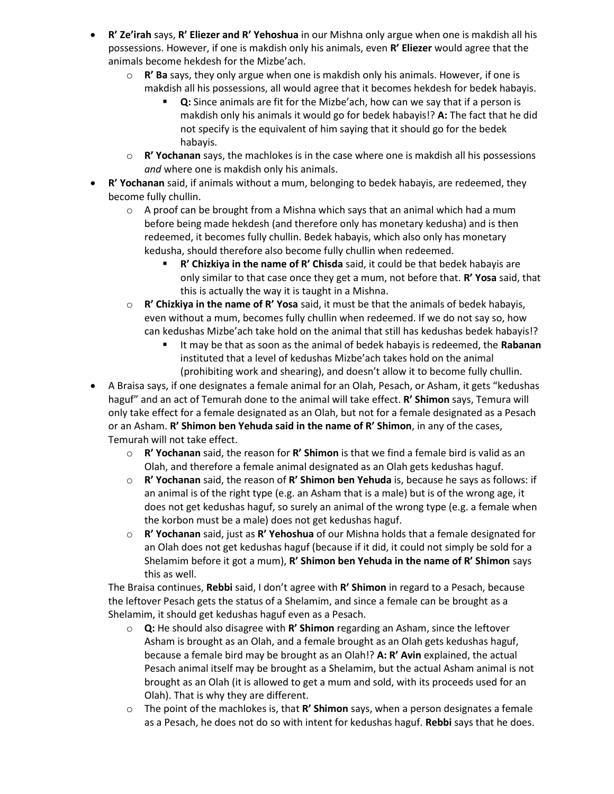- **R' Ze'irah** says, **R' Eliezer and R' Yehoshua** in our Mishna only argue when one is makdish all his possessions. However, if one is makdish only his animals, even **R' Eliezer** would agree that the animals become hekdesh for the Mizbe'ach.
	- o **R' Ba** says, they only argue when one is makdish only his animals. However, if one is makdish all his possessions, all would agree that it becomes hekdesh for bedek habayis.
		- **Q:** Since animals are fit for the Mizbe'ach, how can we say that if a person is makdish only his animals it would go for bedek habayis!? **A:** The fact that he did not specify is the equivalent of him saying that it should go for the bedek habayis.
	- o **R' Yochanan** says, the machlokes is in the case where one is makdish all his possessions *and* where one is makdish only his animals.
- **R' Yochanan** said, if animals without a mum, belonging to bedek habayis, are redeemed, they become fully chullin.
	- $\circ$  A proof can be brought from a Mishna which says that an animal which had a mum before being made hekdesh (and therefore only has monetary kedusha) and is then redeemed, it becomes fully chullin. Bedek habayis, which also only has monetary kedusha, should therefore also become fully chullin when redeemed.
		- R' Chizkiya in the name of R' Chisda said, it could be that bedek habayis are only similar to that case once they get a mum, not before that. **R' Yosa** said, that this is actually the way it is taught in a Mishna.
	- o **R' Chizkiya in the name of R' Yosa** said, it must be that the animals of bedek habayis, even without a mum, becomes fully chullin when redeemed. If we do not say so, how can kedushas Mizbe'ach take hold on the animal that still has kedushas bedek habayis!?
		- It may be that as soon as the animal of bedek habayis is redeemed, the **Rabanan** instituted that a level of kedushas Mizbe'ach takes hold on the animal (prohibiting work and shearing), and doesn't allow it to become fully chullin.
- A Braisa says, if one designates a female animal for an Olah, Pesach, or Asham, it gets "kedushas haguf" and an act of Temurah done to the animal will take effect. **R' Shimon** says, Temura will only take effect for a female designated as an Olah, but not for a female designated as a Pesach or an Asham. **R' Shimon ben Yehuda said in the name of R' Shimon**, in any of the cases, Temurah will not take effect.
	- o **R' Yochanan** said, the reason for **R' Shimon** is that we find a female bird is valid as an Olah, and therefore a female animal designated as an Olah gets kedushas haguf.
	- o **R' Yochanan** said, the reason of **R' Shimon ben Yehuda** is, because he says as follows: if an animal is of the right type (e.g. an Asham that is a male) but is of the wrong age, it does not get kedushas haguf, so surely an animal of the wrong type (e.g. a female when the korbon must be a male) does not get kedushas haguf.
	- o **R' Yochanan** said, just as **R' Yehoshua** of our Mishna holds that a female designated for an Olah does not get kedushas haguf (because if it did, it could not simply be sold for a Shelamim before it got a mum), **R' Shimon ben Yehuda in the name of R' Shimon** says this as well.

The Braisa continues, **Rebbi** said, I don't agree with **R' Shimon** in regard to a Pesach, because the leftover Pesach gets the status of a Shelamim, and since a female can be brought as a Shelamim, it should get kedushas haguf even as a Pesach.

- o **Q:** He should also disagree with **R' Shimon** regarding an Asham, since the leftover Asham is brought as an Olah, and a female brought as an Olah gets kedushas haguf, because a female bird may be brought as an Olah!? **A: R' Avin** explained, the actual Pesach animal itself may be brought as a Shelamim, but the actual Asham animal is not brought as an Olah (it is allowed to get a mum and sold, with its proceeds used for an Olah). That is why they are different.
- o The point of the machlokes is, that **R' Shimon** says, when a person designates a female as a Pesach, he does not do so with intent for kedushas haguf. **Rebbi** says that he does.